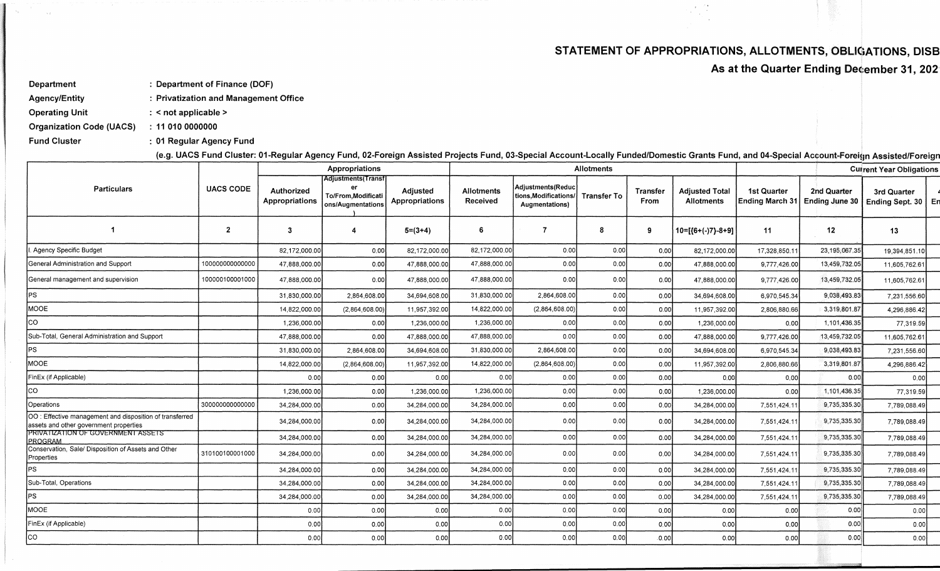## STATEMENT OF APPROPRIATIONS, ALLOTMENTS, OBLIGATIONS, DISB

 $\alpha\in\mathbb{Z}^n$ 

As at the Quarter Ending December 31, 202

: Department of Finance (DOF) Department

**Agency/Entity** : Privatization and Management Office

**Operating Unit** : < not applicable >

**Organization Code (UACS)**  $: 11010000000$ 

 $\sim$   $^{\circ}$ 

**Fund Cluster** : 01 Regular Agency Fund

(e.g. UACS Fund Cluster: 01-Regular Agency Fund, 02-Foreign Assisted Projects Fund, 03-Special Account-Locally Funded/Domestic Grants Fund, and 04-Special Account-Foreign Assisted/Foreign

|                                                                                                   |                  |                              | Appropriations                                                         |                            |                        |                                                             | <b>Allotments</b>  |                         | <b>Current Year Obligations</b>            |                                |                               |                                     |  |
|---------------------------------------------------------------------------------------------------|------------------|------------------------------|------------------------------------------------------------------------|----------------------------|------------------------|-------------------------------------------------------------|--------------------|-------------------------|--------------------------------------------|--------------------------------|-------------------------------|-------------------------------------|--|
| <b>Particulars</b>                                                                                | <b>UACS CODE</b> | Authorized<br>Appropriations | <b>Adjustments</b> (Transf<br>To/From, Modificati<br>ons/Augmentations | Adjusted<br>Appropriations | Allotments<br>Received | Adjustments(Reduc<br>ions, Modifications/<br>Augmentations) | <b>Transfer To</b> | <b>Transfer</b><br>From | <b>Adjusted Total</b><br><b>Allotments</b> | 1st Quarter<br>Ending March 31 | 2nd Quarter<br>Ending June 30 | 3rd Quarter<br>Ending Sept. 30   En |  |
|                                                                                                   | $\overline{2}$   | $\cdot$ 3                    |                                                                        | $5=(3+4)$                  | 6                      | 7                                                           | 8                  | 9                       | $10=[6+(-)7]-8+9]$                         | 11                             | 12                            | 13                                  |  |
| I. Agency Specific Budget                                                                         |                  | 82,172,000.00                | 0.00                                                                   | 82,172,000.00              | 82,172,000.00          | 0.00                                                        | 0.00               | 0.00                    | 82,172,000.00                              | 17,328,850.11                  | 23,195,067.35                 | 19,394,851.10                       |  |
| General Administration and Support                                                                | 10000000000000   | 47,888,000.00                | 0.00                                                                   | 47,888,000.00              | 47,888,000.00          | 0.00                                                        | 0.00               | 0.00                    | 47,888,000.00                              | 9,777,426.0                    | 13,459,732.05                 | 11,605,762.61                       |  |
| General management and supervision                                                                | 100000100001000  | 47,888,000.00                | 0.00                                                                   | 47,888,000.00              | 47,888,000.00          | 0.00                                                        | 0.00               | 0.00                    | 47.888.000.00                              | 9,777,426.00                   | 13,459,732.05                 | 11,605,762.61                       |  |
| PS                                                                                                |                  | 31,830,000,00                | 2,864,608.00                                                           | 34,694,608.00              | 31,830,000.00          | 2,864,608.00                                                | 0.00               | 0.00                    | 34,694,608.00                              | 6,970,545.34                   | 9,038,493.83                  | 7,231,556.60                        |  |
| MOOE                                                                                              |                  | 14,822,000.00                | (2,864,608.00)                                                         | 11,957,392.00              | 14,822,000.00          | (2,864,608.00)                                              | 0.00               | 0.00                    | 11,957,392.00                              | 2,806,880.66                   | 3,319,801.87                  | 4.296.886.42                        |  |
| <b>CO</b>                                                                                         |                  | 1,236,000.00                 | 0.00                                                                   | 1,236,000.00               | 1,236,000.00           | 0.00                                                        | 0.00               | 0.00                    | 1,236,000.00                               | 0.00                           | 1,101,436.35                  | 77,319.59                           |  |
| Sub-Total, General Administration and Support                                                     |                  | 47,888,000.00                | 0.00                                                                   | 47.888.000.00              | 47,888,000.00          | 0.00                                                        | 0.00               | 0.00                    | 47,888,000.00                              | 9,777,426.00                   | 13,459,732.05                 | 11,605,762.61                       |  |
| PS                                                                                                |                  | 31,830,000.00                | 2,864,608.00                                                           | 34,694,608.00              | 31,830,000.00          | 2,864,608.00                                                | 0.00               | 0.00                    | 34,694,608.00                              | 6,970,545.34                   | 9,038,493.83                  | 7,231,556.60                        |  |
| MOOE                                                                                              |                  | 14,822,000.00                | (2,864,608.00)                                                         | 11,957,392.00              | 14,822,000.00          | (2,864,608.00)                                              | 0.00               | 0.00                    | 11,957,392.00                              | 2,806,880.66                   | 3,319,801.87                  | 4,296,886.42                        |  |
| FinEx (if Applicable)                                                                             |                  | 0.00                         | 0.00                                                                   | 0.00                       | 0.00                   | 0.00                                                        | 0.00               | 0.00                    | 0.00                                       | 0.00                           | 0.00                          | 0.00                                |  |
| lco                                                                                               |                  | 1,236,000.00                 | 0.00                                                                   | 1,236,000.00               | 1,236,000.00           | 0.00                                                        | 0.00               | 0,00                    | 1,236,000.00                               | 0.00                           | 1,101,436.35                  | 77,319.59                           |  |
| Operations                                                                                        | 300000000000000  | 34,284,000.00                | 0.00                                                                   | 34,284,000.00              | 34,284,000.00          | 0.00                                                        | 0.00               | 0.00                    | 34,284,000.00                              | 7,551,424.1                    | 9,735,335.30                  | 7,789,088.49                        |  |
| OO: Effective management and disposition of transferred<br>assets and other government properties |                  | 34,284,000.00                | 0.00                                                                   | 34,284,000.00              | 34,284,000.00          | 0.00                                                        | 0.00               | 0.00                    | 34,284,000.00                              | 7,551,424.11                   | 9,735,335.30                  | 7,789,088.49                        |  |
| PRIVATIZATION OF GOVERNMENT ASSETS<br>PROGRAM                                                     |                  | 34,284,000.00                | 0.00                                                                   | 34,284,000.00              | 34,284,000.00          | 0.00                                                        | 0.00               | 0.00                    | 34,284,000.00                              | 7,551,424.1                    | 9,735,335.30                  | 7,789,088.49                        |  |
| Conservation, Sale/ Disposition of Assets and Other<br>Properties                                 | 310100100001000  | 34,284,000.00                | 0.00                                                                   | 34,284,000.00              | 34,284,000.00          | 0.00                                                        | 0.00               | 0.00                    | 34,284,000.00                              | 7,551,424.11                   | 9,735,335.30                  | 7,789,088.49                        |  |
| PS                                                                                                |                  | 34,284,000.00                | 0.00                                                                   | 34,284,000.00              | 34,284,000.00          | 0.00                                                        | 0.00               | 0.00                    | 34,284,000.00                              | 7,551,424.1                    | 9,735,335.30                  | 7,789,088.49                        |  |
| Sub-Total, Operations                                                                             |                  | 34,284,000.00                | 0.00                                                                   | 34,284,000.00              | 34,284,000.00          | 0.00                                                        | 0.00               | 0.00                    | 34,284,000.00                              | 7,551,424.1                    | 9,735,335.30                  | 7,789,088.49                        |  |
| lPS.                                                                                              |                  | 34,284,000.00                | 0.00                                                                   | 34,284,000.00              | 34,284,000.00          | 0.00                                                        | 0.00               | 0.00                    | 34,284,000.00                              | 7,551,424.1                    | 9,735,335.30                  | 7,789,088.49                        |  |
| MOOE                                                                                              |                  | 0.00                         | 0.00                                                                   | 0.00                       | 0.00                   | 0.00                                                        | 0.00               | 0.00                    | 0.00                                       | 0.00                           | 0.00                          | 0.00                                |  |
| FinEx (if Applicable)                                                                             |                  | 0.00                         | 0.00                                                                   | 0.00                       | 0.00                   | 0.00                                                        | 0.00               | 0,00                    | 0.00                                       | 0.00                           | 0.00                          | 0.00                                |  |
| <b>co</b>                                                                                         |                  | 0.00                         | 0.00                                                                   | 0.00                       | 0.00                   | 0.00                                                        | 0.00               | .0.00                   | 0.00                                       | 0.00                           | 0.00                          | 0.00                                |  |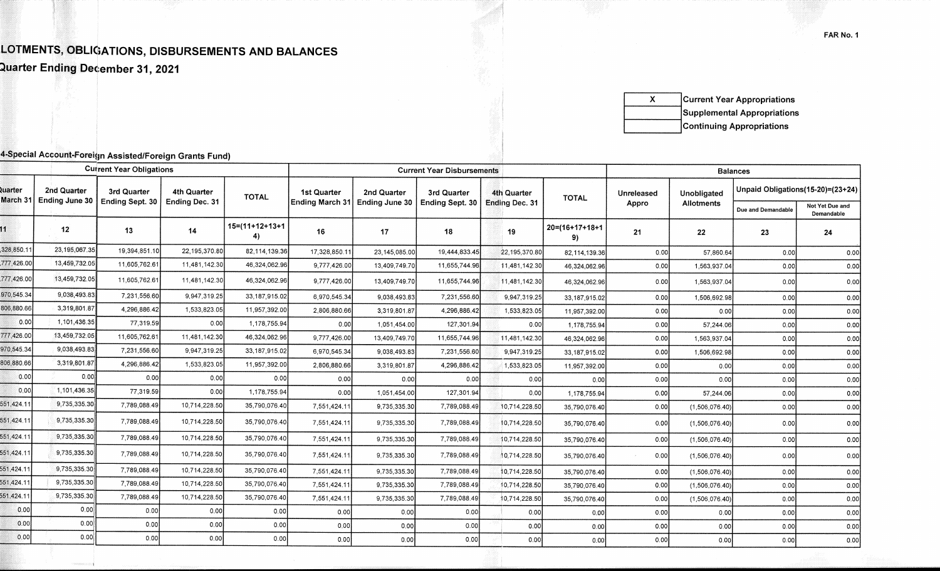## LOTMENTS, OBLIGATIONS, DISBURSEMENTS AND BALANCES

Quarter Ending December 31, 2021

 $\mathbf{x}$ **Current Year Appropriations** Supplemental Appropriations **Continuing Appropriations** 

## 4-Special Account-Foreign Assisted/Foreign Grants Fund)

| Unpaid Obligations(15-20)=(23+24)<br>2nd Quarter<br>uarter<br>3rd Quarter<br>4th Quarter<br><b>1st Quarter</b><br>2nd Quarter<br>3rd Quarter<br>4th Quarter<br>Unobligated<br>Unreleased<br><b>TOTAL</b><br><b>TOTAL</b><br>March 31<br><b>Ending June 30</b><br>Ending Sept. 30<br>Ending Dec. 31<br>Ending March 31<br>Ending June 30<br>Ending Sept. 30<br><b>Ending Dec. 31</b><br>Appro<br><b>Allotments</b><br>Not Yet Due and<br>Due and Demandable<br>Demandable<br>$15=(11+12+13+1)$<br>$20 = (16 + 17 + 18 + 1)$<br>12<br>13<br>14<br>18<br>16<br>17<br>19<br>21<br>22<br>23<br>24<br>4)<br>9)<br>328,850.11<br>23,195,067.35<br>19,394,851.10<br>22,195,370.80<br>82,114,139.36<br>17,328,850.1<br>19,444,833.45<br>23,145,085.00<br>22,195,370.80<br>0.00<br>57,860.64<br>82, 114, 139.36<br>0.00<br>0.00<br>777,426.00<br>13,459,732.05<br>11,605,762.61<br>11,481,142.30<br>46,324,062.96<br>9,777,426.00<br>11,655,744.96<br>13,409,749.70<br>11,481,142.30<br>46,324,062.96<br>0.00<br>1,563,937.04<br>0.00<br>0.00<br>777,426.00<br>13,459,732.05<br>11,605,762.61<br>11,481,142.30<br>46,324,062.96<br>9,777,426.00<br>13,409,749.70<br>11,655,744.96<br>11,481,142.30<br>0.00<br>46,324,062.96<br>0.00<br>1,563,937.04<br>0.00<br>970,545.34<br>9,038,493.83<br>7,231,556.60<br>9,947,319.25<br>33,187,915.02<br>6,970,545.34<br>9,038,493.83<br>7,231,556.60<br>9,947,319.25<br>0.00<br>33,187,915.02<br>1,506,692.98<br>0.00<br>0.00<br>306,880.66<br>3,319,801.87<br>4,296,886.42<br>1,533,823.05<br>11,957,392.00<br>4,296,886.42<br>2,806,880.66<br>3,319,801.87<br>1,533,823.05<br>0.00<br>0.00<br>0.00<br>11,957,392.00<br>0.00<br>0.00<br>1,101,436.35<br>77,319.59<br>0.00<br>1,178,755.94<br>0.00<br>127,301.94<br>1,051,454.00<br>0.00<br>0.00<br>57,244.06<br>0.00<br>1,178,755.94<br>0.00<br>777,426.00<br>13,459,732.05<br>11,605,762.61<br>11,481,142.30<br>46,324,062.96<br>9,777,426.00<br>11,655,744.96<br>13,409,749.70<br>11,481,142.30<br>1,563,937.04<br>46,324,062.96<br>0.00<br>0.00<br>0.00<br>970,545.34<br>9,038,493.83<br>7,231,556.60<br>9,947,319.25<br>33,187,915.02<br>6,970,545.34<br>9,038,493.83<br>7,231,556.60<br>9,947,319.25<br>0.00<br>33, 187, 915, 02<br>1,506,692.98<br>0,00<br>0.00<br>3,319,801.87<br>4,296,886.42<br>1,533,823.05<br>11,957,392.00<br>2,806,880.66<br>4,296,886.42<br>3,319,801.87<br>1,533,823.05<br>0.00<br>0.00<br>0.00<br>11,957,392.00<br>0.00<br>0.00<br>0,00<br>0.00<br>0.00<br>0.00<br>0.00<br>0.00<br>0.00<br>0.00<br>0.00<br>0.00<br>0.00<br>0.00<br>0.00<br>0.00<br>1,101,436.35<br>77,319.59<br>0.00<br>1,178,755.94<br>0.00<br>127,301.94<br>0.00<br>1,051,454,00<br>0.00<br>57,244.06<br>1,178,755.94<br>0.00<br>0.00<br>9,735,335.30<br>10,714,228.50<br>7,789,088.49<br>35,790,076.40<br>7,551,424.1<br>7,789,088.49<br>9,735,335.30<br>10,714,228.50<br>(1,506,076.40)<br>0.00<br>0.00<br>0.00<br>35,790,076.40<br>9,735,335.30<br>7,789,088.49<br>10,714,228.50<br>35,790,076.40<br>7,551,424.11<br>7,789,088.49<br>9,735,335.30<br>10,714,228.50<br>35,790,076.40<br>0.00<br>(1,506,076.40)<br>0.00<br>0.00<br>9,735,335.30<br>7,789,088.49<br>10,714,228.50<br>35,790,076.40<br>7,551,424.1<br>9,735,335.30<br>7,789,088.49<br>10,714,228.50<br>35,790,076.40<br>0.00<br>(1,506,076.40)<br>0.00<br>0.00<br>9,735,335.30<br>7,789,088.49<br>10,714,228.50<br>35,790,076.40<br>7,551,424.11<br>7,789,088.49<br>10,714,228.50<br>9,735,335.30<br>0.00<br>(1,506,076.40)<br>0.00<br>35,790,076.40<br>0.00<br>9,735,335.30<br>7,789,088.49<br>10,714,228.50<br>35,790,076.40<br>7,551,424.11<br>7,789,088.49<br>10,714,228.50<br>9,735,335.30<br>(1,506,076.40)<br>0.00<br>35,790,076.40<br>0.00<br>0.00<br>551,424.11<br>9,735,335.30<br>7,789,088.49<br>10,714,228.50<br>35,790,076.40<br>7,551,424.11<br>9,735,335.30<br>7,789,088.49<br>10,714,228.50<br>0.00<br>(1,506,076.40)<br>0.00<br>0.00<br>35,790,076.40<br>551,424.1<br>9,735,335.30<br>7,789,088.49<br>10,714,228.50<br>35,790,076.40<br>7,789,088.49<br>7,551,424.11<br>9,735,335.30<br>10,714,228.50<br>(1,506,076.40)<br>0.00<br>35,790,076.40<br>0.00<br>0.00<br>0.00<br>0.00<br>0.00<br>0.00<br>0.00<br>0.00<br>0.00<br>0.00<br>0.00<br>0.00<br>0.00<br>0.00<br>0.00<br>0.00<br>0.00<br>0.00<br>0.00<br>0.00<br>0.00<br>0.00<br>0.00<br>0.00<br>0.00<br>0.00<br>0.00<br>0.00<br>0.00<br>0.00<br>0.00<br>0.00<br>0.00<br>0.00<br>0.00<br>0.00<br>0.00<br>0.00<br>0.00<br>0.00<br>0.00<br>0.00<br>0.00<br>0.00 | <b>Current Year Obligations</b> |  |  |  |  |  | <b>Current Year Disbursements</b> |  | <b>Balances</b> |  |  |  |  |  |
|---------------------------------------------------------------------------------------------------------------------------------------------------------------------------------------------------------------------------------------------------------------------------------------------------------------------------------------------------------------------------------------------------------------------------------------------------------------------------------------------------------------------------------------------------------------------------------------------------------------------------------------------------------------------------------------------------------------------------------------------------------------------------------------------------------------------------------------------------------------------------------------------------------------------------------------------------------------------------------------------------------------------------------------------------------------------------------------------------------------------------------------------------------------------------------------------------------------------------------------------------------------------------------------------------------------------------------------------------------------------------------------------------------------------------------------------------------------------------------------------------------------------------------------------------------------------------------------------------------------------------------------------------------------------------------------------------------------------------------------------------------------------------------------------------------------------------------------------------------------------------------------------------------------------------------------------------------------------------------------------------------------------------------------------------------------------------------------------------------------------------------------------------------------------------------------------------------------------------------------------------------------------------------------------------------------------------------------------------------------------------------------------------------------------------------------------------------------------------------------------------------------------------------------------------------------------------------------------------------------------------------------------------------------------------------------------------------------------------------------------------------------------------------------------------------------------------------------------------------------------------------------------------------------------------------------------------------------------------------------------------------------------------------------------------------------------------------------------------------------------------------------------------------------------------------------------------------------------------------------------------------------------------------------------------------------------------------------------------------------------------------------------------------------------------------------------------------------------------------------------------------------------------------------------------------------------------------------------------------------------------------------------------------------------------------------------------------------------------------------------------------------------------------------------------------------------------------------------------------------------------------------------------------------------------------------------------------------------------------------------------------------------------------------------------------------------------------------------------------------------------------------------------------------------------------------------------------------------------------------------------------------------------------------------------------------------------------------------------------------------------------------------------------------------------------------------------------------------------------|---------------------------------|--|--|--|--|--|-----------------------------------|--|-----------------|--|--|--|--|--|
|                                                                                                                                                                                                                                                                                                                                                                                                                                                                                                                                                                                                                                                                                                                                                                                                                                                                                                                                                                                                                                                                                                                                                                                                                                                                                                                                                                                                                                                                                                                                                                                                                                                                                                                                                                                                                                                                                                                                                                                                                                                                                                                                                                                                                                                                                                                                                                                                                                                                                                                                                                                                                                                                                                                                                                                                                                                                                                                                                                                                                                                                                                                                                                                                                                                                                                                                                                                                                                                                                                                                                                                                                                                                                                                                                                                                                                                                                                                                                                                                                                                                                                                                                                                                                                                                                                                                                                                                                                                                                 |                                 |  |  |  |  |  |                                   |  |                 |  |  |  |  |  |
|                                                                                                                                                                                                                                                                                                                                                                                                                                                                                                                                                                                                                                                                                                                                                                                                                                                                                                                                                                                                                                                                                                                                                                                                                                                                                                                                                                                                                                                                                                                                                                                                                                                                                                                                                                                                                                                                                                                                                                                                                                                                                                                                                                                                                                                                                                                                                                                                                                                                                                                                                                                                                                                                                                                                                                                                                                                                                                                                                                                                                                                                                                                                                                                                                                                                                                                                                                                                                                                                                                                                                                                                                                                                                                                                                                                                                                                                                                                                                                                                                                                                                                                                                                                                                                                                                                                                                                                                                                                                                 |                                 |  |  |  |  |  |                                   |  |                 |  |  |  |  |  |
|                                                                                                                                                                                                                                                                                                                                                                                                                                                                                                                                                                                                                                                                                                                                                                                                                                                                                                                                                                                                                                                                                                                                                                                                                                                                                                                                                                                                                                                                                                                                                                                                                                                                                                                                                                                                                                                                                                                                                                                                                                                                                                                                                                                                                                                                                                                                                                                                                                                                                                                                                                                                                                                                                                                                                                                                                                                                                                                                                                                                                                                                                                                                                                                                                                                                                                                                                                                                                                                                                                                                                                                                                                                                                                                                                                                                                                                                                                                                                                                                                                                                                                                                                                                                                                                                                                                                                                                                                                                                                 |                                 |  |  |  |  |  |                                   |  |                 |  |  |  |  |  |
|                                                                                                                                                                                                                                                                                                                                                                                                                                                                                                                                                                                                                                                                                                                                                                                                                                                                                                                                                                                                                                                                                                                                                                                                                                                                                                                                                                                                                                                                                                                                                                                                                                                                                                                                                                                                                                                                                                                                                                                                                                                                                                                                                                                                                                                                                                                                                                                                                                                                                                                                                                                                                                                                                                                                                                                                                                                                                                                                                                                                                                                                                                                                                                                                                                                                                                                                                                                                                                                                                                                                                                                                                                                                                                                                                                                                                                                                                                                                                                                                                                                                                                                                                                                                                                                                                                                                                                                                                                                                                 |                                 |  |  |  |  |  |                                   |  |                 |  |  |  |  |  |
|                                                                                                                                                                                                                                                                                                                                                                                                                                                                                                                                                                                                                                                                                                                                                                                                                                                                                                                                                                                                                                                                                                                                                                                                                                                                                                                                                                                                                                                                                                                                                                                                                                                                                                                                                                                                                                                                                                                                                                                                                                                                                                                                                                                                                                                                                                                                                                                                                                                                                                                                                                                                                                                                                                                                                                                                                                                                                                                                                                                                                                                                                                                                                                                                                                                                                                                                                                                                                                                                                                                                                                                                                                                                                                                                                                                                                                                                                                                                                                                                                                                                                                                                                                                                                                                                                                                                                                                                                                                                                 |                                 |  |  |  |  |  |                                   |  |                 |  |  |  |  |  |
|                                                                                                                                                                                                                                                                                                                                                                                                                                                                                                                                                                                                                                                                                                                                                                                                                                                                                                                                                                                                                                                                                                                                                                                                                                                                                                                                                                                                                                                                                                                                                                                                                                                                                                                                                                                                                                                                                                                                                                                                                                                                                                                                                                                                                                                                                                                                                                                                                                                                                                                                                                                                                                                                                                                                                                                                                                                                                                                                                                                                                                                                                                                                                                                                                                                                                                                                                                                                                                                                                                                                                                                                                                                                                                                                                                                                                                                                                                                                                                                                                                                                                                                                                                                                                                                                                                                                                                                                                                                                                 |                                 |  |  |  |  |  |                                   |  |                 |  |  |  |  |  |
|                                                                                                                                                                                                                                                                                                                                                                                                                                                                                                                                                                                                                                                                                                                                                                                                                                                                                                                                                                                                                                                                                                                                                                                                                                                                                                                                                                                                                                                                                                                                                                                                                                                                                                                                                                                                                                                                                                                                                                                                                                                                                                                                                                                                                                                                                                                                                                                                                                                                                                                                                                                                                                                                                                                                                                                                                                                                                                                                                                                                                                                                                                                                                                                                                                                                                                                                                                                                                                                                                                                                                                                                                                                                                                                                                                                                                                                                                                                                                                                                                                                                                                                                                                                                                                                                                                                                                                                                                                                                                 |                                 |  |  |  |  |  |                                   |  |                 |  |  |  |  |  |
|                                                                                                                                                                                                                                                                                                                                                                                                                                                                                                                                                                                                                                                                                                                                                                                                                                                                                                                                                                                                                                                                                                                                                                                                                                                                                                                                                                                                                                                                                                                                                                                                                                                                                                                                                                                                                                                                                                                                                                                                                                                                                                                                                                                                                                                                                                                                                                                                                                                                                                                                                                                                                                                                                                                                                                                                                                                                                                                                                                                                                                                                                                                                                                                                                                                                                                                                                                                                                                                                                                                                                                                                                                                                                                                                                                                                                                                                                                                                                                                                                                                                                                                                                                                                                                                                                                                                                                                                                                                                                 |                                 |  |  |  |  |  |                                   |  |                 |  |  |  |  |  |
|                                                                                                                                                                                                                                                                                                                                                                                                                                                                                                                                                                                                                                                                                                                                                                                                                                                                                                                                                                                                                                                                                                                                                                                                                                                                                                                                                                                                                                                                                                                                                                                                                                                                                                                                                                                                                                                                                                                                                                                                                                                                                                                                                                                                                                                                                                                                                                                                                                                                                                                                                                                                                                                                                                                                                                                                                                                                                                                                                                                                                                                                                                                                                                                                                                                                                                                                                                                                                                                                                                                                                                                                                                                                                                                                                                                                                                                                                                                                                                                                                                                                                                                                                                                                                                                                                                                                                                                                                                                                                 |                                 |  |  |  |  |  |                                   |  |                 |  |  |  |  |  |
|                                                                                                                                                                                                                                                                                                                                                                                                                                                                                                                                                                                                                                                                                                                                                                                                                                                                                                                                                                                                                                                                                                                                                                                                                                                                                                                                                                                                                                                                                                                                                                                                                                                                                                                                                                                                                                                                                                                                                                                                                                                                                                                                                                                                                                                                                                                                                                                                                                                                                                                                                                                                                                                                                                                                                                                                                                                                                                                                                                                                                                                                                                                                                                                                                                                                                                                                                                                                                                                                                                                                                                                                                                                                                                                                                                                                                                                                                                                                                                                                                                                                                                                                                                                                                                                                                                                                                                                                                                                                                 |                                 |  |  |  |  |  |                                   |  |                 |  |  |  |  |  |
|                                                                                                                                                                                                                                                                                                                                                                                                                                                                                                                                                                                                                                                                                                                                                                                                                                                                                                                                                                                                                                                                                                                                                                                                                                                                                                                                                                                                                                                                                                                                                                                                                                                                                                                                                                                                                                                                                                                                                                                                                                                                                                                                                                                                                                                                                                                                                                                                                                                                                                                                                                                                                                                                                                                                                                                                                                                                                                                                                                                                                                                                                                                                                                                                                                                                                                                                                                                                                                                                                                                                                                                                                                                                                                                                                                                                                                                                                                                                                                                                                                                                                                                                                                                                                                                                                                                                                                                                                                                                                 |                                 |  |  |  |  |  |                                   |  |                 |  |  |  |  |  |
|                                                                                                                                                                                                                                                                                                                                                                                                                                                                                                                                                                                                                                                                                                                                                                                                                                                                                                                                                                                                                                                                                                                                                                                                                                                                                                                                                                                                                                                                                                                                                                                                                                                                                                                                                                                                                                                                                                                                                                                                                                                                                                                                                                                                                                                                                                                                                                                                                                                                                                                                                                                                                                                                                                                                                                                                                                                                                                                                                                                                                                                                                                                                                                                                                                                                                                                                                                                                                                                                                                                                                                                                                                                                                                                                                                                                                                                                                                                                                                                                                                                                                                                                                                                                                                                                                                                                                                                                                                                                                 | 806,880.66                      |  |  |  |  |  |                                   |  |                 |  |  |  |  |  |
|                                                                                                                                                                                                                                                                                                                                                                                                                                                                                                                                                                                                                                                                                                                                                                                                                                                                                                                                                                                                                                                                                                                                                                                                                                                                                                                                                                                                                                                                                                                                                                                                                                                                                                                                                                                                                                                                                                                                                                                                                                                                                                                                                                                                                                                                                                                                                                                                                                                                                                                                                                                                                                                                                                                                                                                                                                                                                                                                                                                                                                                                                                                                                                                                                                                                                                                                                                                                                                                                                                                                                                                                                                                                                                                                                                                                                                                                                                                                                                                                                                                                                                                                                                                                                                                                                                                                                                                                                                                                                 |                                 |  |  |  |  |  |                                   |  |                 |  |  |  |  |  |
|                                                                                                                                                                                                                                                                                                                                                                                                                                                                                                                                                                                                                                                                                                                                                                                                                                                                                                                                                                                                                                                                                                                                                                                                                                                                                                                                                                                                                                                                                                                                                                                                                                                                                                                                                                                                                                                                                                                                                                                                                                                                                                                                                                                                                                                                                                                                                                                                                                                                                                                                                                                                                                                                                                                                                                                                                                                                                                                                                                                                                                                                                                                                                                                                                                                                                                                                                                                                                                                                                                                                                                                                                                                                                                                                                                                                                                                                                                                                                                                                                                                                                                                                                                                                                                                                                                                                                                                                                                                                                 |                                 |  |  |  |  |  |                                   |  |                 |  |  |  |  |  |
|                                                                                                                                                                                                                                                                                                                                                                                                                                                                                                                                                                                                                                                                                                                                                                                                                                                                                                                                                                                                                                                                                                                                                                                                                                                                                                                                                                                                                                                                                                                                                                                                                                                                                                                                                                                                                                                                                                                                                                                                                                                                                                                                                                                                                                                                                                                                                                                                                                                                                                                                                                                                                                                                                                                                                                                                                                                                                                                                                                                                                                                                                                                                                                                                                                                                                                                                                                                                                                                                                                                                                                                                                                                                                                                                                                                                                                                                                                                                                                                                                                                                                                                                                                                                                                                                                                                                                                                                                                                                                 | 551,424.11                      |  |  |  |  |  |                                   |  |                 |  |  |  |  |  |
|                                                                                                                                                                                                                                                                                                                                                                                                                                                                                                                                                                                                                                                                                                                                                                                                                                                                                                                                                                                                                                                                                                                                                                                                                                                                                                                                                                                                                                                                                                                                                                                                                                                                                                                                                                                                                                                                                                                                                                                                                                                                                                                                                                                                                                                                                                                                                                                                                                                                                                                                                                                                                                                                                                                                                                                                                                                                                                                                                                                                                                                                                                                                                                                                                                                                                                                                                                                                                                                                                                                                                                                                                                                                                                                                                                                                                                                                                                                                                                                                                                                                                                                                                                                                                                                                                                                                                                                                                                                                                 | 551,424.11                      |  |  |  |  |  |                                   |  |                 |  |  |  |  |  |
|                                                                                                                                                                                                                                                                                                                                                                                                                                                                                                                                                                                                                                                                                                                                                                                                                                                                                                                                                                                                                                                                                                                                                                                                                                                                                                                                                                                                                                                                                                                                                                                                                                                                                                                                                                                                                                                                                                                                                                                                                                                                                                                                                                                                                                                                                                                                                                                                                                                                                                                                                                                                                                                                                                                                                                                                                                                                                                                                                                                                                                                                                                                                                                                                                                                                                                                                                                                                                                                                                                                                                                                                                                                                                                                                                                                                                                                                                                                                                                                                                                                                                                                                                                                                                                                                                                                                                                                                                                                                                 | 551,424.11                      |  |  |  |  |  |                                   |  |                 |  |  |  |  |  |
|                                                                                                                                                                                                                                                                                                                                                                                                                                                                                                                                                                                                                                                                                                                                                                                                                                                                                                                                                                                                                                                                                                                                                                                                                                                                                                                                                                                                                                                                                                                                                                                                                                                                                                                                                                                                                                                                                                                                                                                                                                                                                                                                                                                                                                                                                                                                                                                                                                                                                                                                                                                                                                                                                                                                                                                                                                                                                                                                                                                                                                                                                                                                                                                                                                                                                                                                                                                                                                                                                                                                                                                                                                                                                                                                                                                                                                                                                                                                                                                                                                                                                                                                                                                                                                                                                                                                                                                                                                                                                 | 551,424.11                      |  |  |  |  |  |                                   |  |                 |  |  |  |  |  |
|                                                                                                                                                                                                                                                                                                                                                                                                                                                                                                                                                                                                                                                                                                                                                                                                                                                                                                                                                                                                                                                                                                                                                                                                                                                                                                                                                                                                                                                                                                                                                                                                                                                                                                                                                                                                                                                                                                                                                                                                                                                                                                                                                                                                                                                                                                                                                                                                                                                                                                                                                                                                                                                                                                                                                                                                                                                                                                                                                                                                                                                                                                                                                                                                                                                                                                                                                                                                                                                                                                                                                                                                                                                                                                                                                                                                                                                                                                                                                                                                                                                                                                                                                                                                                                                                                                                                                                                                                                                                                 | 551,424.11                      |  |  |  |  |  |                                   |  |                 |  |  |  |  |  |
|                                                                                                                                                                                                                                                                                                                                                                                                                                                                                                                                                                                                                                                                                                                                                                                                                                                                                                                                                                                                                                                                                                                                                                                                                                                                                                                                                                                                                                                                                                                                                                                                                                                                                                                                                                                                                                                                                                                                                                                                                                                                                                                                                                                                                                                                                                                                                                                                                                                                                                                                                                                                                                                                                                                                                                                                                                                                                                                                                                                                                                                                                                                                                                                                                                                                                                                                                                                                                                                                                                                                                                                                                                                                                                                                                                                                                                                                                                                                                                                                                                                                                                                                                                                                                                                                                                                                                                                                                                                                                 |                                 |  |  |  |  |  |                                   |  |                 |  |  |  |  |  |
|                                                                                                                                                                                                                                                                                                                                                                                                                                                                                                                                                                                                                                                                                                                                                                                                                                                                                                                                                                                                                                                                                                                                                                                                                                                                                                                                                                                                                                                                                                                                                                                                                                                                                                                                                                                                                                                                                                                                                                                                                                                                                                                                                                                                                                                                                                                                                                                                                                                                                                                                                                                                                                                                                                                                                                                                                                                                                                                                                                                                                                                                                                                                                                                                                                                                                                                                                                                                                                                                                                                                                                                                                                                                                                                                                                                                                                                                                                                                                                                                                                                                                                                                                                                                                                                                                                                                                                                                                                                                                 |                                 |  |  |  |  |  |                                   |  |                 |  |  |  |  |  |
|                                                                                                                                                                                                                                                                                                                                                                                                                                                                                                                                                                                                                                                                                                                                                                                                                                                                                                                                                                                                                                                                                                                                                                                                                                                                                                                                                                                                                                                                                                                                                                                                                                                                                                                                                                                                                                                                                                                                                                                                                                                                                                                                                                                                                                                                                                                                                                                                                                                                                                                                                                                                                                                                                                                                                                                                                                                                                                                                                                                                                                                                                                                                                                                                                                                                                                                                                                                                                                                                                                                                                                                                                                                                                                                                                                                                                                                                                                                                                                                                                                                                                                                                                                                                                                                                                                                                                                                                                                                                                 |                                 |  |  |  |  |  |                                   |  |                 |  |  |  |  |  |
|                                                                                                                                                                                                                                                                                                                                                                                                                                                                                                                                                                                                                                                                                                                                                                                                                                                                                                                                                                                                                                                                                                                                                                                                                                                                                                                                                                                                                                                                                                                                                                                                                                                                                                                                                                                                                                                                                                                                                                                                                                                                                                                                                                                                                                                                                                                                                                                                                                                                                                                                                                                                                                                                                                                                                                                                                                                                                                                                                                                                                                                                                                                                                                                                                                                                                                                                                                                                                                                                                                                                                                                                                                                                                                                                                                                                                                                                                                                                                                                                                                                                                                                                                                                                                                                                                                                                                                                                                                                                                 |                                 |  |  |  |  |  |                                   |  |                 |  |  |  |  |  |
|                                                                                                                                                                                                                                                                                                                                                                                                                                                                                                                                                                                                                                                                                                                                                                                                                                                                                                                                                                                                                                                                                                                                                                                                                                                                                                                                                                                                                                                                                                                                                                                                                                                                                                                                                                                                                                                                                                                                                                                                                                                                                                                                                                                                                                                                                                                                                                                                                                                                                                                                                                                                                                                                                                                                                                                                                                                                                                                                                                                                                                                                                                                                                                                                                                                                                                                                                                                                                                                                                                                                                                                                                                                                                                                                                                                                                                                                                                                                                                                                                                                                                                                                                                                                                                                                                                                                                                                                                                                                                 |                                 |  |  |  |  |  |                                   |  |                 |  |  |  |  |  |

FAR No. 1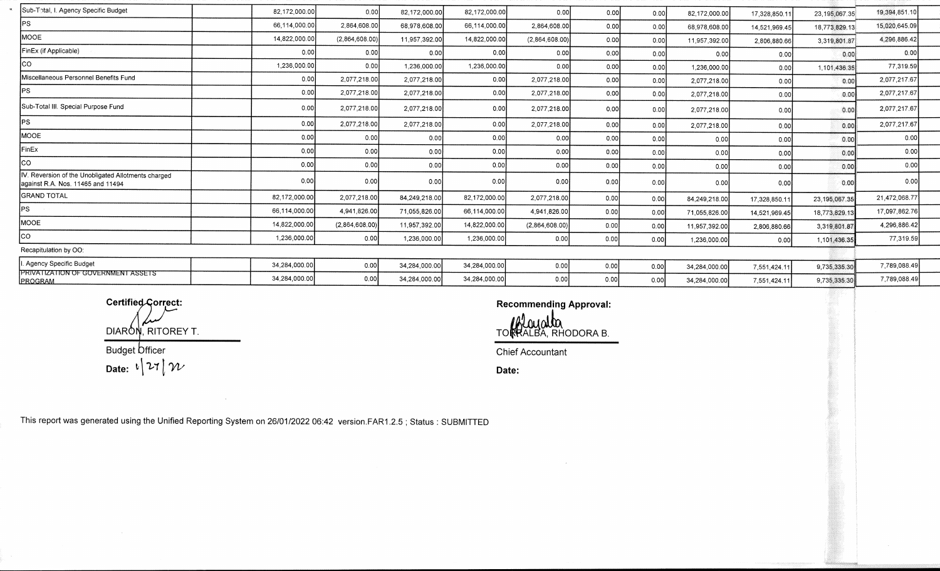| Sub-Total, I. Agency Specific Budget                                                     | 82,172,000.00 | 0.00           | 82,172,000.00 | 82,172,000.00 | 0.00           | 0.00 | 0.00 | 82,172,000.00 | 17,328,850.1  | 23, 195, 067.35 | 19,394,851.10 |
|------------------------------------------------------------------------------------------|---------------|----------------|---------------|---------------|----------------|------|------|---------------|---------------|-----------------|---------------|
| IPS.                                                                                     | 66,114,000.00 | 2,864,608.00   | 68,978,608.00 | 66,114,000.00 | 2,864,608.00   | 0.00 | 0.00 | 68,978,608.00 | 14,521,969.45 | 18,773,829.13   | 15,020,645.09 |
| MOOE                                                                                     | 14,822,000.00 | (2,864,608,00) | 11,957,392.00 | 14,822,000.00 | (2,864,608.00) | 0.00 | 0.00 | 11,957,392.00 | 2,806,880.66  | 3,319,801.87    | 4,296,886.42  |
| FinEx (if Applicable)                                                                    | 0.00          | 0.00           | 0.00          | 0.00          | 0.00           | 0.00 | 0.00 | 0.00          | 0.00          | 0.00            | 0.00          |
| <b>CO</b>                                                                                | 1,236,000.00  | 0.00           | 1,236,000.00  | 1,236,000.00  | 0.00           | 0.00 | 0.00 | 1,236,000.00  | 0.00          | 1,101,436.35    | 77,319.59     |
| Miscellaneous Personnel Benefits Fund                                                    | 0.00          | 2,077,218.00   | 2,077,218.00  | 0.00          | 2,077,218.00   | 0.00 | 0.00 | 2,077,218.00  | 0.00          | 0.00            | 2,077,217.67  |
| IPS.                                                                                     | 0.00          | 2,077,218.00   | 2,077,218.00  | 0.00          | 2,077,218.00   | 0.00 | 0.00 | 2,077,218.00  | 0.00          | 0.00            | 2,077,217.67  |
| Sub-Total III. Special Purpose Fund                                                      | 0.00          | 2,077,218.00   | 2,077,218.00  | 0.00          | 2,077,218.00   | 0.00 | 0.00 | 2,077,218.00  | 0.00          | 0.00            | 2,077,217.67  |
| <b>PS</b>                                                                                | 0.00          | 2.077.218.00   | 2,077,218.00  | 0.00          | 2,077,218.00   | 0.00 | 0.00 | 2,077,218.00  | 0.00          | 0.00            | 2,077,217.67  |
| <b>MOOE</b>                                                                              | 0.00          | 0.00           | 0.00          | 0.00          | 0.00           | 0.00 | 0.00 | 0.00          | 0.00          | 0.00            | 0.00          |
| FinEx                                                                                    | 0.00          | 0.00           | 0.00          | 0.00          | 0.00           | 0.00 | 0.00 | 0.00          | 0.00          | 0.00            | 0.00          |
| lco                                                                                      | 0.00          | 0.00           | 0.00          | 0.00          | 0.00           | 0.00 | 0.00 | 0.00          | 0.00          | 0.00            | 0.00          |
| IV. Reversion of the Unobligated Allotments charged<br>against R.A. Nos. 11465 and 11494 | 0.00          | 0.00           | 0.00          | 0.00          | 0.00           | 0.00 | 0.00 | 0.00          | 0.00          | 0.00            | 0,00          |
| <b>GRAND TOTAL</b>                                                                       | 82,172,000.00 | 2,077,218.00   | 84,249,218.00 | 82,172,000.00 | 2,077,218.00   | 0.00 | 0.00 | 84,249,218.00 | 17,328,850.11 | 23, 195, 067.35 | 21,472,068.77 |
| PS                                                                                       | 66,114,000.00 | 4,941,826.00   | 71,055,826.00 | 66,114,000.00 | 4,941,826.00   | 0.00 | 0.00 | 71,055,826.00 | 14,521,969,45 | 18,773,829.1    | 17,097,862.76 |
| MOOE                                                                                     | 14,822,000.00 | (2,864,608.00) | 11,957,392.00 | 14,822,000.00 | (2,864,608.00) | 0.00 | 0.00 | 11,957,392.00 | 2,806,880.66  | 3,319,801.87    | 4,296,886.42  |
| lco-                                                                                     | 1,236,000.00  | 0.00           | 1,236,000.00  | 1,236,000.00  | 0.00           | 0.00 | 0.00 | 1,236,000.00  | 0.00          | 1,101,436.35    | 77,319.59     |
| Recapitulation by OO:                                                                    |               |                |               |               |                |      |      |               |               |                 |               |
| Agency Specific Budget                                                                   | 34.284.000.00 | 0.00           | 34,284,000.00 | 34,284,000.00 | 0.00           | 0.00 | 0.00 | 34,284,000.00 | 7,551,424.1   | 9,735,335.30    | 7,789,088.49  |
| PRIVATIZATION OF GOVERNMENT ASSETS<br><b>PROGRAM</b>                                     | 34,284,000.00 | 0.00           | 34,284,000.00 | 34,284,000.00 | 0.00           | 0.00 | 0.00 | 34,284,000.00 | 7,551,424.1   | 9,735,335.30    | 7,789,088.49  |

DIARON, RITOREY T. Budget Officer

**Date:**  $\sqrt[k]{21}$ 

**Certified Correct: Certified Correct: Recommending Approval:** 

TO RALBA, RHODORA B.

Chief Accountant

**Date:** 

This report was generated using the Unified Reporting System on 26/01/2022 06:42 version.FAR1.2.5; Status: SUBMITTED